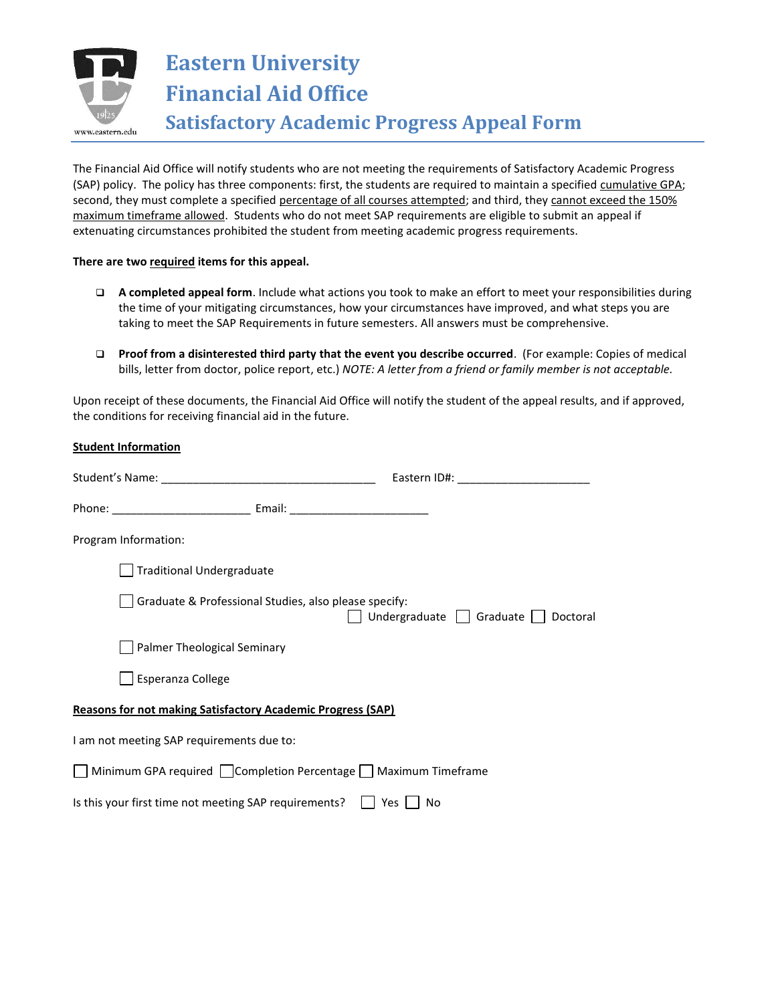

**Eastern University Financial Aid Office Satisfactory Academic Progress Appeal Form**

The Financial Aid Office will notify students who are not meeting the requirements of Satisfactory Academic Progress (SAP) policy. The policy has three components: first, the students are required to maintain a specified cumulative GPA; second, they must complete a specified percentage of all courses attempted; and third, they cannot exceed the 150% maximum timeframe allowed. Students who do not meet SAP requirements are eligible to submit an appeal if extenuating circumstances prohibited the student from meeting academic progress requirements.

## **There are two required items for this appeal.**

- **A completed appeal form**. Include what actions you took to make an effort to meet your responsibilities during the time of your mitigating circumstances, how your circumstances have improved, and what steps you are taking to meet the SAP Requirements in future semesters. All answers must be comprehensive.
- **Proof from a disinterested third party that the event you describe occurred**. (For example: Copies of medical bills, letter from doctor, police report, etc.) *NOTE: A letter from a friend or family member is not acceptable.*

Upon receipt of these documents, the Financial Aid Office will notify the student of the appeal results, and if approved, the conditions for receiving financial aid in the future.

| <b>Student Information</b>                |                                                                    |                                                              |
|-------------------------------------------|--------------------------------------------------------------------|--------------------------------------------------------------|
|                                           |                                                                    |                                                              |
|                                           |                                                                    |                                                              |
| Program Information:                      |                                                                    |                                                              |
|                                           | <b>Traditional Undergraduate</b>                                   |                                                              |
|                                           | Graduate & Professional Studies, also please specify:              | Undergraduate $\Box$ Graduate $\Box$ Doctoral                |
|                                           | Palmer Theological Seminary                                        |                                                              |
| Esperanza College                         |                                                                    |                                                              |
|                                           | <b>Reasons for not making Satisfactory Academic Progress (SAP)</b> |                                                              |
| I am not meeting SAP requirements due to: |                                                                    |                                                              |
|                                           |                                                                    | Minimum GPA required Completion Percentage Maximum Timeframe |
|                                           | Is this your first time not meeting SAP requirements?              | Yes<br>No                                                    |